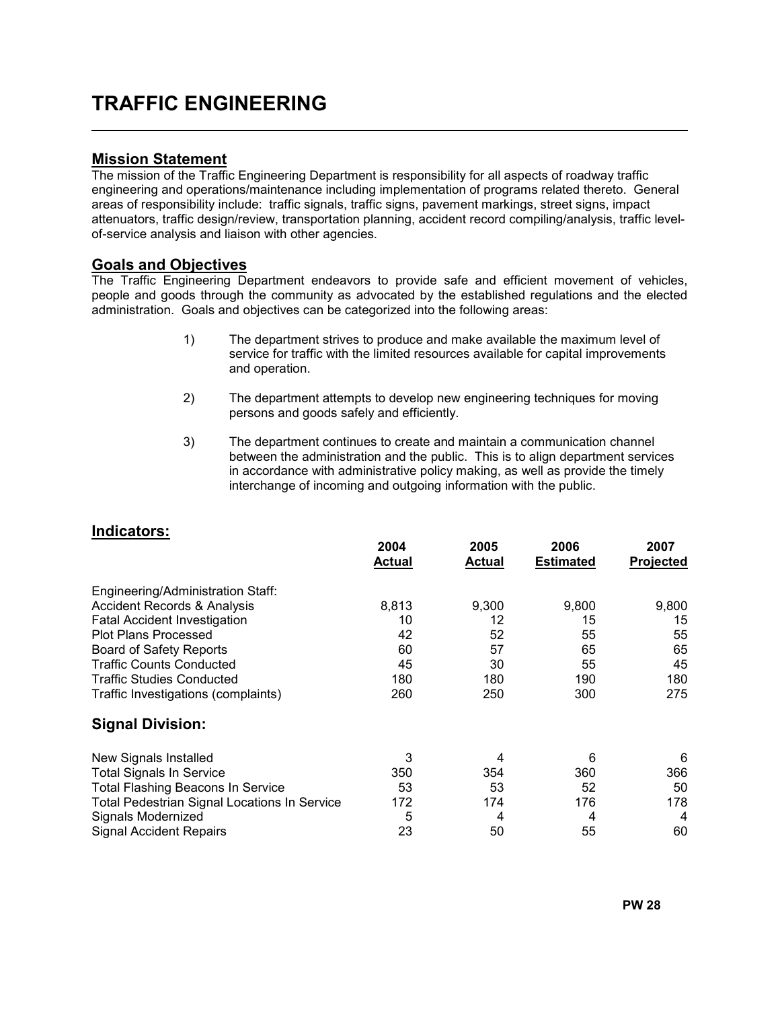# TRAFFIC ENGINEERING

#### Mission Statement

l,

The mission of the Traffic Engineering Department is responsibility for all aspects of roadway traffic engineering and operations/maintenance including implementation of programs related thereto. General areas of responsibility include: traffic signals, traffic signs, pavement markings, street signs, impact attenuators, traffic design/review, transportation planning, accident record compiling/analysis, traffic levelof-service analysis and liaison with other agencies.

#### Goals and Objectives

The Traffic Engineering Department endeavors to provide safe and efficient movement of vehicles, people and goods through the community as advocated by the established regulations and the elected administration. Goals and objectives can be categorized into the following areas:

- 1) The department strives to produce and make available the maximum level of service for traffic with the limited resources available for capital improvements and operation.
- 2) The department attempts to develop new engineering techniques for moving persons and goods safely and efficiently.
- 3) The department continues to create and maintain a communication channel between the administration and the public. This is to align department services in accordance with administrative policy making, as well as provide the timely interchange of incoming and outgoing information with the public.

#### Indicators:

|                                              | 2004<br><b>Actual</b> | 2005<br><b>Actual</b> | 2006<br><b>Estimated</b> | 2007<br>Projected |
|----------------------------------------------|-----------------------|-----------------------|--------------------------|-------------------|
| Engineering/Administration Staff:            |                       |                       |                          |                   |
| <b>Accident Records &amp; Analysis</b>       | 8,813                 | 9,300                 | 9,800                    | 9,800             |
| <b>Fatal Accident Investigation</b>          | 10                    | 12                    | 15                       | 15                |
| <b>Plot Plans Processed</b>                  | 42                    | 52                    | 55                       | 55                |
| <b>Board of Safety Reports</b>               | 60                    | 57                    | 65                       | 65                |
| <b>Traffic Counts Conducted</b>              | 45                    | 30                    | 55                       | 45                |
| <b>Traffic Studies Conducted</b>             | 180                   | 180                   | 190                      | 180               |
| Traffic Investigations (complaints)          | 260                   | 250                   | 300                      | 275               |
| <b>Signal Division:</b>                      |                       |                       |                          |                   |
| New Signals Installed                        | 3                     | 4                     | 6                        | 6                 |
| <b>Total Signals In Service</b>              | 350                   | 354                   | 360                      | 366               |
| <b>Total Flashing Beacons In Service</b>     | 53                    | 53                    | 52                       | 50                |
| Total Pedestrian Signal Locations In Service | 172                   | 174                   | 176                      | 178               |
| Signals Modernized                           | 5                     | 4                     | 4                        | 4                 |
| <b>Signal Accident Repairs</b>               | 23                    | 50                    | 55                       | 60                |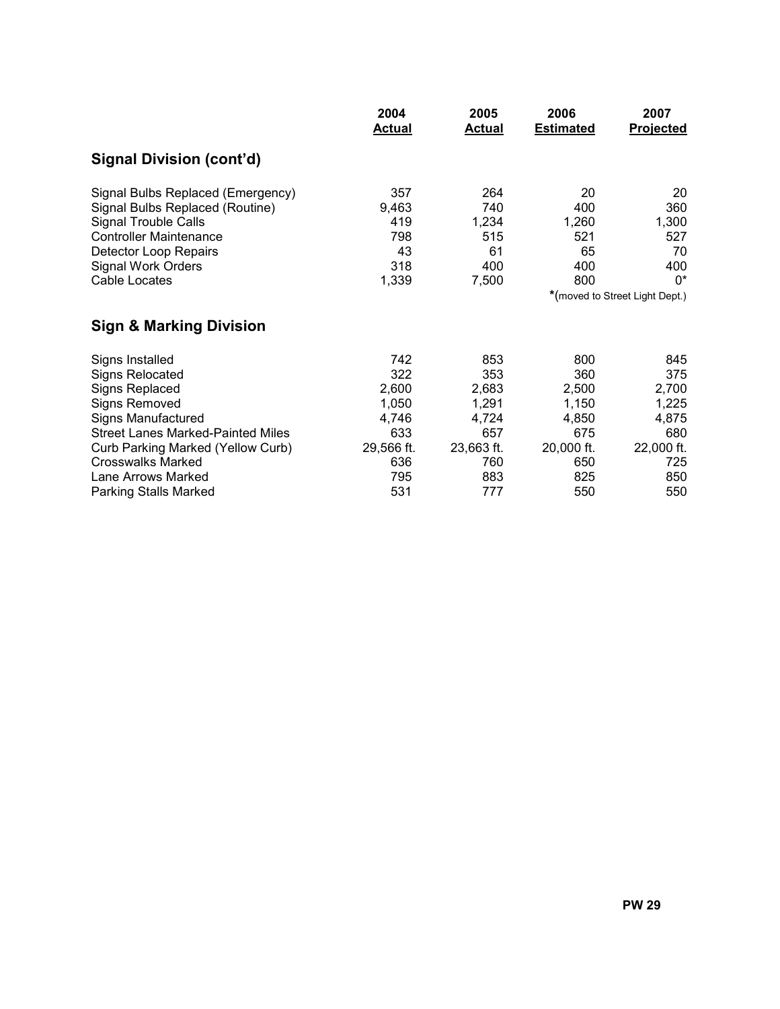|                                          | 2004<br><b>Actual</b> | 2005<br><b>Actual</b> | 2006<br><b>Estimated</b> | 2007<br><b>Projected</b>       |
|------------------------------------------|-----------------------|-----------------------|--------------------------|--------------------------------|
| Signal Division (cont'd)                 |                       |                       |                          |                                |
| Signal Bulbs Replaced (Emergency)        | 357                   | 264                   | 20                       | 20                             |
| Signal Bulbs Replaced (Routine)          | 9,463                 | 740                   | 400                      | 360                            |
| <b>Signal Trouble Calls</b>              | 419                   | 1,234                 | 1,260                    | 1,300                          |
| <b>Controller Maintenance</b>            | 798                   | 515                   | 521                      | 527                            |
| Detector Loop Repairs                    | 43                    | 61                    | 65                       | 70                             |
| <b>Signal Work Orders</b>                | 318                   | 400                   | 400                      | 400                            |
| Cable Locates                            | 1,339                 | 7,500                 | 800                      | $0^*$                          |
|                                          |                       |                       |                          | *(moved to Street Light Dept.) |
| <b>Sign &amp; Marking Division</b>       |                       |                       |                          |                                |
| Signs Installed                          | 742                   | 853                   | 800                      | 845                            |
| <b>Signs Relocated</b>                   | 322                   | 353                   | 360                      | 375                            |
| Signs Replaced                           | 2,600                 | 2,683                 | 2,500                    | 2,700                          |
| <b>Signs Removed</b>                     | 1,050                 | 1,291                 | 1,150                    | 1,225                          |
| <b>Signs Manufactured</b>                | 4,746                 | 4,724                 | 4,850                    | 4,875                          |
| <b>Street Lanes Marked-Painted Miles</b> | 633                   | 657                   | 675                      | 680                            |
| Curb Parking Marked (Yellow Curb)        | 29,566 ft.            | 23,663 ft.            | 20,000 ft.               | 22,000 ft.                     |
| <b>Crosswalks Marked</b>                 | 636                   | 760                   | 650                      | 725                            |
| Lane Arrows Marked                       | 795                   | 883                   | 825                      | 850                            |
| <b>Parking Stalls Marked</b>             | 531                   | 777                   | 550                      | 550                            |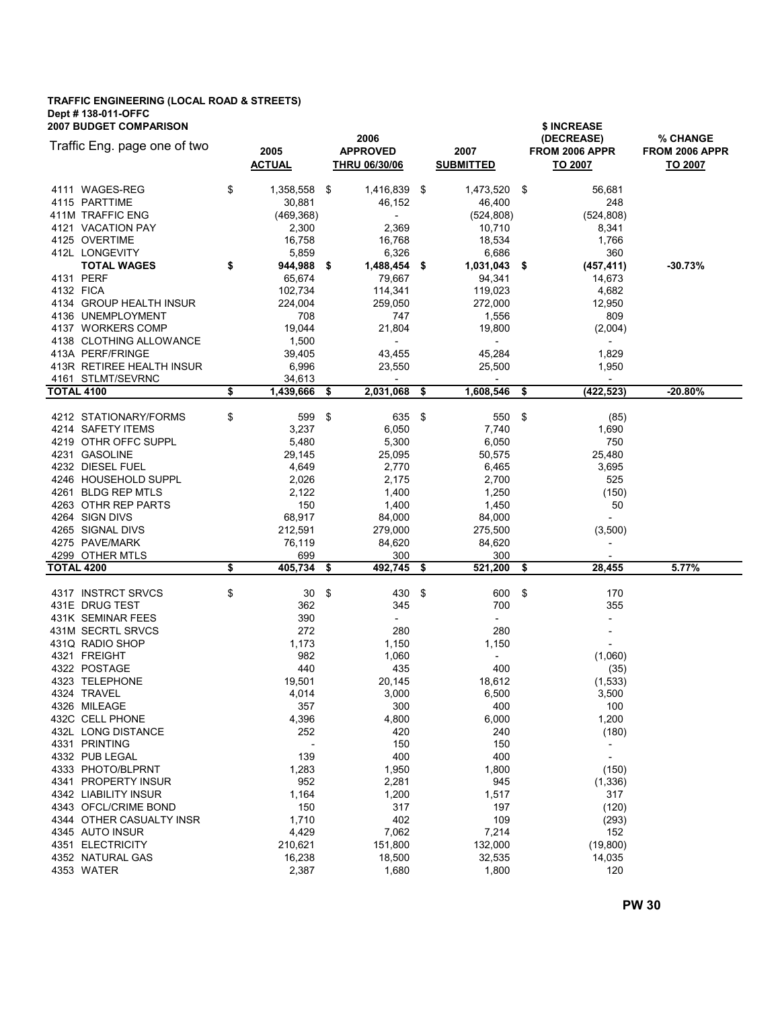## TRAFFIC ENGINEERING (LOCAL ROAD & STREETS) Dept # 138-011-OFFC

| <b>2007 BUDGET COMPARISON</b> |                                              |                    |                                    |      |                                    |      | \$ INCREASE                         |                |  |  |  |  |
|-------------------------------|----------------------------------------------|--------------------|------------------------------------|------|------------------------------------|------|-------------------------------------|----------------|--|--|--|--|
|                               | Traffic Eng. page one of two                 |                    | 2006                               |      |                                    |      | (DECREASE)                          | % CHANGE       |  |  |  |  |
|                               |                                              | 2005               | <b>APPROVED</b>                    |      | 2007                               |      | FROM 2006 APPR                      | FROM 2006 APPR |  |  |  |  |
|                               |                                              | <b>ACTUAL</b>      | <b>THRU 06/30/06</b>               |      | <b>SUBMITTED</b>                   |      | TO 2007                             | TO 2007        |  |  |  |  |
|                               | 4111 WAGES-REG                               | \$<br>1,358,558 \$ | 1,416,839 \$                       |      | 1,473,520 \$                       |      | 56,681                              |                |  |  |  |  |
| 4115 PARTTIME                 |                                              | 30,881             | 46,152                             |      | 46,400                             |      | 248                                 |                |  |  |  |  |
|                               | 411M TRAFFIC ENG                             | (469, 368)         | $\overline{\phantom{a}}$           |      | (524, 808)                         |      | (524, 808)                          |                |  |  |  |  |
|                               | 4121 VACATION PAY                            | 2,300              | 2,369                              |      | 10,710                             |      | 8,341                               |                |  |  |  |  |
| 4125 OVERTIME                 |                                              | 16,758             | 16,768                             |      | 18,534                             |      | 1,766                               |                |  |  |  |  |
| 412L LONGEVITY                |                                              | 5,859              | 6,326                              |      | 6,686                              |      | 360                                 |                |  |  |  |  |
|                               | <b>TOTAL WAGES</b>                           | \$<br>944,988 \$   | 1,488,454                          | - \$ | 1,031,043                          | - \$ | (457, 411)                          | $-30.73%$      |  |  |  |  |
| 4131 PERF                     |                                              | 65,674             | 79,667                             |      | 94,341                             |      | 14,673                              |                |  |  |  |  |
| 4132 FICA                     |                                              | 102,734            | 114,341                            |      | 119,023                            |      | 4,682                               |                |  |  |  |  |
|                               | 4134 GROUP HEALTH INSUR                      | 224,004            | 259,050                            |      | 272,000                            |      | 12,950                              |                |  |  |  |  |
|                               | 4136 UNEMPLOYMENT                            | 708                | 747                                |      | 1,556                              |      | 809                                 |                |  |  |  |  |
|                               | 4137 WORKERS COMP<br>4138 CLOTHING ALLOWANCE | 19,044<br>1,500    | 21,804<br>$\overline{\phantom{a}}$ |      | 19,800<br>$\overline{\phantom{a}}$ |      | (2,004)<br>$\overline{\phantom{a}}$ |                |  |  |  |  |
|                               | 413A PERF/FRINGE                             | 39,405             | 43,455                             |      | 45,284                             |      | 1,829                               |                |  |  |  |  |
|                               | 413R RETIREE HEALTH INSUR                    | 6,996              | 23,550                             |      | 25,500                             |      | 1,950                               |                |  |  |  |  |
|                               | 4161 STLMT/SEVRNC                            | 34,613             | $\overline{\phantom{a}}$           |      |                                    |      | $\overline{\phantom{a}}$            |                |  |  |  |  |
| <b>TOTAL 4100</b>             |                                              | \$<br>1,439,666    | \$<br>2,031,068                    | \$   | 1,608,546                          | \$   | (422, 523)                          | -20.80%        |  |  |  |  |
|                               | 4212 STATIONARY/FORMS                        | \$<br>599          | \$<br>635                          | \$   | 550                                | -\$  | (85)                                |                |  |  |  |  |
|                               | 4214 SAFETY ITEMS                            | 3,237              | 6,050                              |      | 7,740                              |      | 1,690                               |                |  |  |  |  |
|                               | 4219 OTHR OFFC SUPPL                         | 5,480              | 5,300                              |      | 6,050                              |      | 750                                 |                |  |  |  |  |
| 4231 GASOLINE                 |                                              | 29,145             | 25,095                             |      | 50,575                             |      | 25,480                              |                |  |  |  |  |
|                               | 4232 DIESEL FUEL                             | 4,649              | 2,770                              |      | 6,465                              |      | 3,695                               |                |  |  |  |  |
|                               | 4246 HOUSEHOLD SUPPL                         | 2,026              | 2,175                              |      | 2,700                              |      | 525                                 |                |  |  |  |  |
|                               | 4261 BLDG REP MTLS                           | 2,122              | 1,400                              |      | 1,250                              |      | (150)                               |                |  |  |  |  |
|                               | 4263 OTHR REP PARTS                          | 150                | 1,400                              |      | 1,450                              |      | 50                                  |                |  |  |  |  |
| 4264 SIGN DIVS                |                                              | 68,917             | 84,000                             |      | 84,000                             |      | $\overline{\phantom{a}}$            |                |  |  |  |  |
|                               | 4265 SIGNAL DIVS                             | 212,591            | 279,000                            |      | 275,500                            |      | (3,500)                             |                |  |  |  |  |
|                               | 4275 PAVE/MARK                               | 76,119             | 84,620                             |      | 84,620                             |      | $\overline{\phantom{a}}$            |                |  |  |  |  |
|                               | 4299 OTHER MTLS                              | 699                | 300                                |      | 300                                |      |                                     |                |  |  |  |  |
| <b>TOTAL 4200</b>             |                                              | \$<br>405,734      | \$<br>492,745                      | \$   | $\overline{521,200}$               | \$   | 28,455                              | 5.77%          |  |  |  |  |
|                               | 4317 INSTRCT SRVCS                           | \$<br>30           | \$<br>430 \$                       |      | 600                                | -\$  | 170                                 |                |  |  |  |  |
| 431E DRUG TEST                |                                              | 362                | 345                                |      | 700                                |      | 355                                 |                |  |  |  |  |
|                               | 431K SEMINAR FEES                            | 390                | $\overline{\phantom{0}}$           |      | $\overline{\phantom{a}}$           |      | ÷,                                  |                |  |  |  |  |
|                               | 431M SECRTL SRVCS                            | 272                | 280                                |      | 280                                |      | $\overline{\phantom{a}}$            |                |  |  |  |  |
|                               | 431Q RADIO SHOP                              | 1,173              | 1,150                              |      | 1,150                              |      | $\overline{\phantom{a}}$            |                |  |  |  |  |
| 4321 FREIGHT                  |                                              | 982                | 1,060                              |      | $\overline{\phantom{a}}$           |      | (1,060)                             |                |  |  |  |  |
| 4322 POSTAGE                  |                                              | 440                | 435                                |      | 400                                |      | (35)                                |                |  |  |  |  |
|                               | 4323 TELEPHONE                               | 19,501             | 20,145                             |      | 18,612                             |      | (1,533)                             |                |  |  |  |  |
| 4324 TRAVEL<br>4326 MILEAGE   |                                              | 4,014<br>357       | 3,000<br>300                       |      | 6,500<br>400                       |      | 3,500<br>100                        |                |  |  |  |  |
|                               | 432C CELL PHONE                              | 4,396              | 4,800                              |      | 6,000                              |      | 1,200                               |                |  |  |  |  |
|                               | 432L LONG DISTANCE                           | 252                | 420                                |      | 240                                |      | (180)                               |                |  |  |  |  |
| 4331 PRINTING                 |                                              |                    | 150                                |      | 150                                |      | $\overline{\phantom{a}}$            |                |  |  |  |  |
| 4332 PUB LEGAL                |                                              | 139                | 400                                |      | 400                                |      | $\overline{\phantom{a}}$            |                |  |  |  |  |
|                               | 4333 PHOTO/BLPRNT                            | 1,283              | 1,950                              |      | 1,800                              |      | (150)                               |                |  |  |  |  |
|                               | 4341 PROPERTY INSUR                          | 952                | 2,281                              |      | 945                                |      | (1, 336)                            |                |  |  |  |  |
|                               | 4342 LIABILITY INSUR                         | 1,164              | 1,200                              |      | 1,517                              |      | 317                                 |                |  |  |  |  |
|                               | 4343 OFCL/CRIME BOND                         | 150                | 317                                |      | 197                                |      | (120)                               |                |  |  |  |  |
|                               | 4344 OTHER CASUALTY INSR                     | 1,710              | 402                                |      | 109                                |      | (293)                               |                |  |  |  |  |
|                               | 4345 AUTO INSUR                              | 4,429              | 7,062                              |      | 7,214                              |      | 152                                 |                |  |  |  |  |
| 4351 ELECTRICITY              |                                              |                    |                                    |      |                                    |      |                                     |                |  |  |  |  |
|                               |                                              | 210,621            | 151,800                            |      | 132,000                            |      | (19, 800)                           |                |  |  |  |  |
| 4353 WATER                    | 4352 NATURAL GAS                             | 16,238<br>2,387    | 18,500<br>1,680                    |      | 32,535<br>1,800                    |      | 14,035<br>120                       |                |  |  |  |  |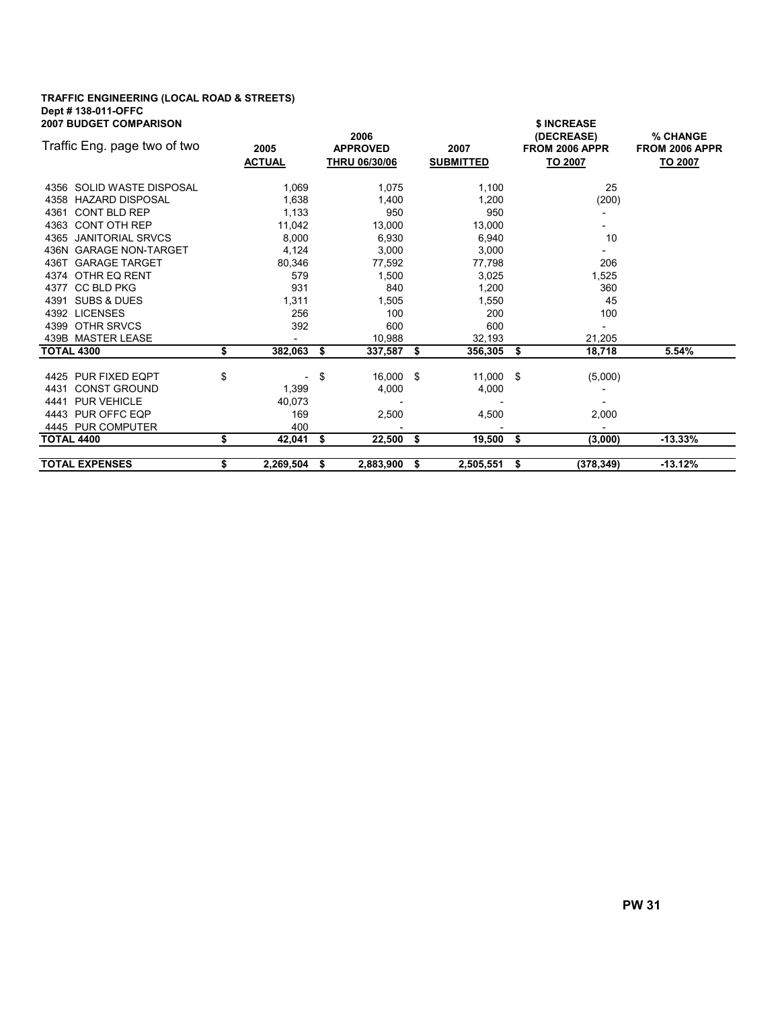### TRAFFIC ENGINEERING (LOCAL ROAD & STREETS) Dept # 138-011-OFFC

| <b>2007 BUDGET COMPARISON</b> |    |                       |    |                                                 |      |                          |     | \$ INCREASE                             |                                       |  |  |
|-------------------------------|----|-----------------------|----|-------------------------------------------------|------|--------------------------|-----|-----------------------------------------|---------------------------------------|--|--|
| Traffic Eng. page two of two  |    | 2005<br><b>ACTUAL</b> |    | 2006<br><b>APPROVED</b><br><b>THRU 06/30/06</b> |      | 2007<br><b>SUBMITTED</b> |     | (DECREASE)<br>FROM 2006 APPR<br>TO 2007 | % CHANGE<br>FROM 2006 APPR<br>TO 2007 |  |  |
| 4356 SOLID WASTE DISPOSAL     |    | 1,069                 |    | 1,075                                           |      | 1,100                    |     | 25                                      |                                       |  |  |
| 4358 HAZARD DISPOSAL          |    | 1,638                 |    | 1,400                                           |      | 1,200                    |     | (200)                                   |                                       |  |  |
| 4361 CONT BLD REP             |    | 1.133                 |    | 950                                             |      | 950                      |     |                                         |                                       |  |  |
| 4363 CONT OTH REP             |    | 11,042                |    | 13,000                                          |      | 13,000                   |     |                                         |                                       |  |  |
| 4365 JANITORIAL SRVCS         |    | 8,000                 |    | 6,930                                           |      | 6,940                    |     | 10                                      |                                       |  |  |
| 436N GARAGE NON-TARGET        |    | 4,124                 |    | 3,000                                           |      | 3,000                    |     |                                         |                                       |  |  |
| 436T GARAGE TARGET            |    | 80,346                |    | 77,592                                          |      | 77,798                   |     | 206                                     |                                       |  |  |
| 4374 OTHR EQ RENT             |    | 579                   |    | 1,500                                           |      | 3,025                    |     | 1,525                                   |                                       |  |  |
| 4377 CC BLD PKG               |    | 931                   |    | 840                                             |      | 1,200                    |     | 360                                     |                                       |  |  |
| 4391 SUBS & DUES              |    | 1,311                 |    | 1,505                                           |      | 1,550                    |     | 45                                      |                                       |  |  |
| 4392 LICENSES                 |    | 256                   |    | 100                                             |      | 200                      |     | 100                                     |                                       |  |  |
| 4399 OTHR SRVCS               |    | 392                   |    | 600                                             |      | 600                      |     |                                         |                                       |  |  |
| 439B MASTER LEASE             |    |                       |    | 10.988                                          |      | 32.193                   |     | 21,205                                  |                                       |  |  |
| <b>TOTAL 4300</b>             | \$ | 382,063               | \$ | 337,587                                         | \$   | 356,305 \$               |     | 18,718                                  | 5.54%                                 |  |  |
|                               |    |                       |    |                                                 |      |                          |     |                                         |                                       |  |  |
| 4425 PUR FIXED EQPT           | \$ |                       | \$ | 16,000 \$                                       |      | $11,000$ \$              |     | (5,000)                                 |                                       |  |  |
| 4431 CONST GROUND             |    | 1,399                 |    | 4,000                                           |      | 4,000                    |     |                                         |                                       |  |  |
| 4441 PUR VEHICLE              |    | 40.073                |    |                                                 |      |                          |     |                                         |                                       |  |  |
| 4443 PUR OFFC EQP             |    | 169                   |    | 2,500                                           |      | 4,500                    |     | 2,000                                   |                                       |  |  |
| 4445 PUR COMPUTER             |    | 400                   |    |                                                 |      |                          |     |                                         |                                       |  |  |
| <b>TOTAL 4400</b>             | \$ | 42,041                | \$ | 22,500                                          | - \$ | 19,500                   | -\$ | (3,000)                                 | $-13.33%$                             |  |  |
| <b>TOTAL EXPENSES</b>         | \$ | 2.269.504             | S  | 2.883.900                                       | \$   | 2.505.551                | \$  | (378.349)                               | $-13.12%$                             |  |  |
|                               |    |                       |    |                                                 |      |                          |     |                                         |                                       |  |  |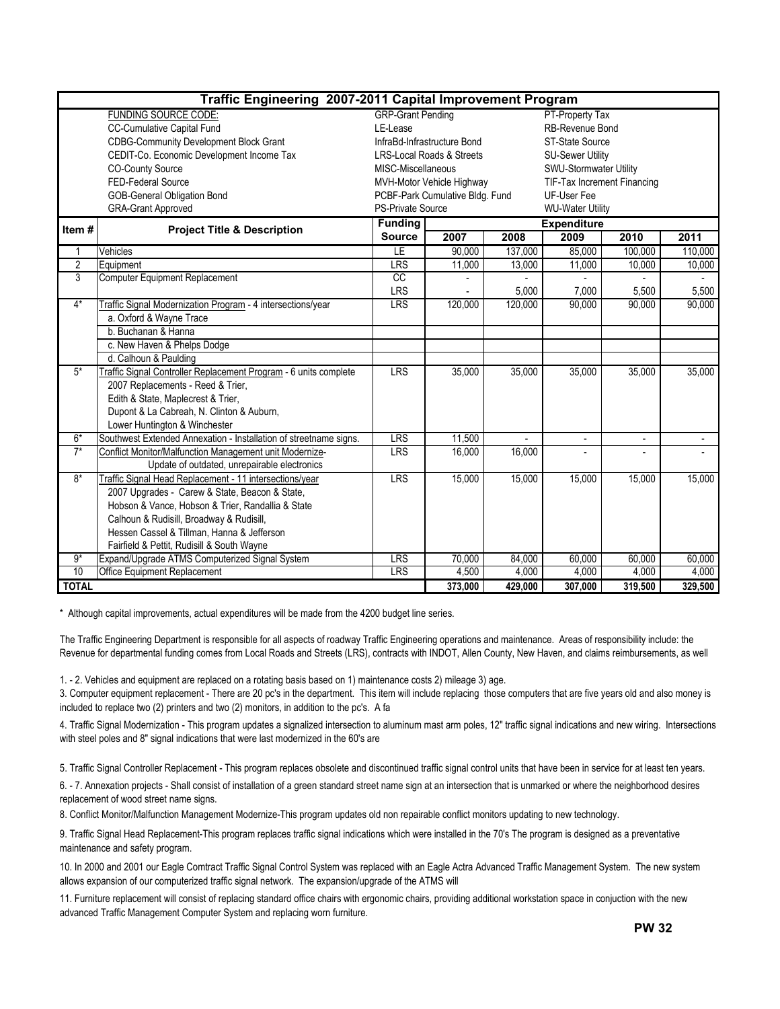|                | Traffic Engineering 2007-2011 Capital Improvement Program         |                          |                                      |         |                             |         |         |  |  |  |
|----------------|-------------------------------------------------------------------|--------------------------|--------------------------------------|---------|-----------------------------|---------|---------|--|--|--|
|                | FUNDING SOURCE CODE:                                              | <b>GRP-Grant Pending</b> |                                      |         | PT-Property Tax             |         |         |  |  |  |
|                | <b>CC-Cumulative Capital Fund</b>                                 | LE-Lease                 |                                      |         | RB-Revenue Bond             |         |         |  |  |  |
|                | <b>CDBG-Community Development Block Grant</b>                     |                          | InfraBd-Infrastructure Bond          |         | ST-State Source             |         |         |  |  |  |
|                | CEDIT-Co. Economic Development Income Tax                         |                          | <b>LRS-Local Roads &amp; Streets</b> |         | <b>SU-Sewer Utility</b>     |         |         |  |  |  |
|                | <b>CO-County Source</b>                                           | MISC-Miscellaneous       |                                      |         | SWU-Stormwater Utility      |         |         |  |  |  |
|                | FED-Federal Source                                                |                          | MVH-Motor Vehicle Highway            |         | TIF-Tax Increment Financing |         |         |  |  |  |
|                | <b>GOB-General Obligation Bond</b>                                |                          | PCBF-Park Cumulative Bldg. Fund      |         | UF-User Fee                 |         |         |  |  |  |
|                | <b>GRA-Grant Approved</b>                                         | PS-Private Source        |                                      |         | <b>WU-Water Utility</b>     |         |         |  |  |  |
| Item#          | <b>Project Title &amp; Description</b>                            | <b>Funding</b>           |                                      |         | <b>Expenditure</b>          |         |         |  |  |  |
|                |                                                                   | <b>Source</b>            | 2007                                 | 2008    | 2009                        | 2010    | 2011    |  |  |  |
|                | Vehicles                                                          | LE                       | 90.000                               | 137,000 | 85.000                      | 100,000 | 110,000 |  |  |  |
| $\overline{2}$ | Equipment                                                         | LRS                      | 11,000                               | 13,000  | 11,000                      | 10,000  | 10,000  |  |  |  |
| 3              | <b>Computer Equipment Replacement</b>                             | CC                       |                                      |         |                             |         |         |  |  |  |
|                |                                                                   | <b>LRS</b>               |                                      | 5,000   | 7,000                       | 5,500   | 5,500   |  |  |  |
| $4*$           | Traffic Signal Modernization Program - 4 intersections/year       | <b>LRS</b>               | 120,000                              | 120,000 | 90.000                      | 90.000  | 90,000  |  |  |  |
|                | a. Oxford & Wayne Trace                                           |                          |                                      |         |                             |         |         |  |  |  |
|                | b. Buchanan & Hanna                                               |                          |                                      |         |                             |         |         |  |  |  |
|                | c. New Haven & Phelps Dodge                                       |                          |                                      |         |                             |         |         |  |  |  |
|                | d. Calhoun & Paulding                                             |                          |                                      |         |                             |         |         |  |  |  |
| $5*$           | Traffic Signal Controller Replacement Program - 6 units complete  | <b>LRS</b>               | 35,000                               | 35,000  | 35,000                      | 35,000  | 35,000  |  |  |  |
|                | 2007 Replacements - Reed & Trier,                                 |                          |                                      |         |                             |         |         |  |  |  |
|                | Edith & State, Maplecrest & Trier,                                |                          |                                      |         |                             |         |         |  |  |  |
|                | Dupont & La Cabreah, N. Clinton & Auburn,                         |                          |                                      |         |                             |         |         |  |  |  |
|                | Lower Huntington & Winchester                                     |                          |                                      |         |                             |         |         |  |  |  |
| $6*$           | Southwest Extended Annexation - Installation of streetname signs. | <b>LRS</b>               | 11,500                               |         |                             |         |         |  |  |  |
| $7*$           | Conflict Monitor/Malfunction Management unit Modernize-           | <b>LRS</b>               | 16,000                               | 16,000  |                             |         |         |  |  |  |
|                | Update of outdated, unrepairable electronics                      |                          |                                      |         |                             |         |         |  |  |  |
| $8*$           | Traffic Signal Head Replacement - 11 intersections/year           | <b>LRS</b>               | 15,000                               | 15,000  | 15,000                      | 15,000  | 15,000  |  |  |  |
|                | 2007 Upgrades - Carew & State, Beacon & State,                    |                          |                                      |         |                             |         |         |  |  |  |
|                | Hobson & Vance, Hobson & Trier, Randallia & State                 |                          |                                      |         |                             |         |         |  |  |  |
|                | Calhoun & Rudisill, Broadway & Rudisill,                          |                          |                                      |         |                             |         |         |  |  |  |
|                | Hessen Cassel & Tillman, Hanna & Jefferson                        |                          |                                      |         |                             |         |         |  |  |  |
|                | Fairfield & Pettit, Rudisill & South Wayne                        |                          |                                      |         |                             |         |         |  |  |  |
| $9*$           | Expand/Upgrade ATMS Computerized Signal System                    | <b>LRS</b>               | 70,000                               | 84,000  | 60,000                      | 60,000  | 60,000  |  |  |  |
| 10             | Office Equipment Replacement                                      | LRS                      | 4,500                                | 4,000   | 4,000                       | 4,000   | 4,000   |  |  |  |
| <b>TOTAL</b>   |                                                                   |                          | 373,000                              | 429,000 | 307,000                     | 319,500 | 329,500 |  |  |  |

\* Although capital improvements, actual expenditures will be made from the 4200 budget line series.

The Traffic Engineering Department is responsible for all aspects of roadway Traffic Engineering operations and maintenance. Areas of responsibility include: the Revenue for departmental funding comes from Local Roads and Streets (LRS), contracts with INDOT, Allen County, New Haven, and claims reimbursements, as well

1. - 2. Vehicles and equipment are replaced on a rotating basis based on 1) maintenance costs 2) mileage 3) age.

3. Computer equipment replacement - There are 20 pc's in the department. This item will include replacing those computers that are five years old and also money is included to replace two (2) printers and two (2) monitors, in addition to the pc's. A fa

4. Traffic Signal Modernization - This program updates a signalized intersection to aluminum mast arm poles, 12" traffic signal indications and new wiring. Intersections with steel poles and 8" signal indications that were last modernized in the 60's are

5. Traffic Signal Controller Replacement - This program replaces obsolete and discontinued traffic signal control units that have been in service for at least ten years.

6. - 7. Annexation projects - Shall consist of installation of a green standard street name sign at an intersection that is unmarked or where the neighborhood desires replacement of wood street name signs.

8. Conflict Monitor/Malfunction Management Modernize-This program updates old non repairable conflict monitors updating to new technology.

9. Traffic Signal Head Replacement-This program replaces traffic signal indications which were installed in the 70's The program is designed as a preventative maintenance and safety program.

10. In 2000 and 2001 our Eagle Comtract Traffic Signal Control System was replaced with an Eagle Actra Advanced Traffic Management System. The new system allows expansion of our computerized traffic signal network. The expansion/upgrade of the ATMS will

11. Furniture replacement will consist of replacing standard office chairs with ergonomic chairs, providing additional workstation space in conjuction with the new advanced Traffic Management Computer System and replacing worn furniture.